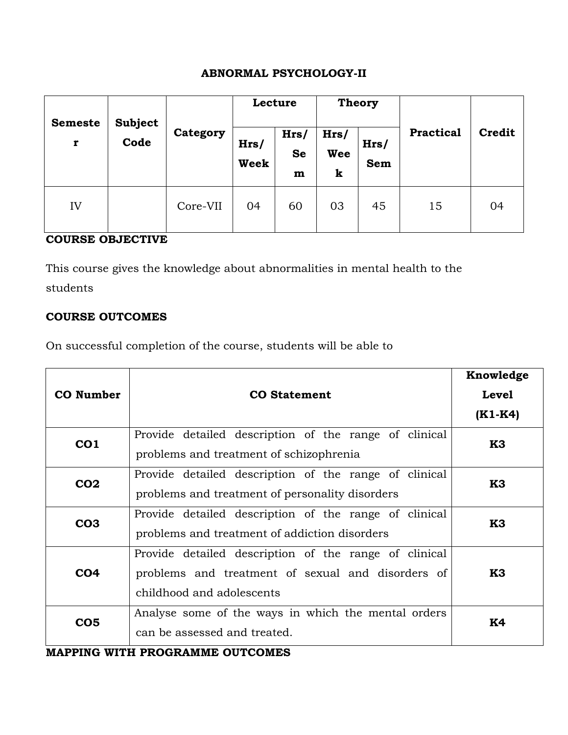### **ABNORMAL PSYCHOLOGY-II**

| <b>Semeste</b> | <b>Subject</b><br>Code | Category | Lecture             |                                   | <b>Theory</b>    |             |                  |        |
|----------------|------------------------|----------|---------------------|-----------------------------------|------------------|-------------|------------------|--------|
| r              |                        |          | Hrs/<br><b>Week</b> | Hrs/<br><b>Se</b><br>$\mathbf{m}$ | Hrs/<br>Wee<br>k | Hrs/<br>Sem | <b>Practical</b> | Credit |
| IV             |                        | Core-VII | 04                  | 60                                | 03               | 45          | 15               | 04     |

#### **COURSE OBJECTIVE**

This course gives the knowledge about abnormalities in mental health to the students

#### **COURSE OUTCOMES**

On successful completion of the course, students will be able to

|                 |                                                       | Knowledge    |  |
|-----------------|-------------------------------------------------------|--------------|--|
| CO Number       | <b>CO</b> Statement                                   | <b>Level</b> |  |
|                 |                                                       | (K1-K4)      |  |
| CO <sub>1</sub> | Provide detailed description of the range of clinical | K3           |  |
|                 | problems and treatment of schizophrenia               |              |  |
| CO <sub>2</sub> | Provide detailed description of the range of clinical | K3           |  |
|                 | problems and treatment of personality disorders       |              |  |
| CO <sub>3</sub> | Provide detailed description of the range of clinical | K3           |  |
|                 | problems and treatment of addiction disorders         |              |  |
|                 | Provide detailed description of the range of clinical |              |  |
| CO <sub>4</sub> | problems and treatment of sexual and disorders of     | K3           |  |
|                 | childhood and adolescents                             |              |  |
| CO <sub>5</sub> | Analyse some of the ways in which the mental orders   | K4           |  |
|                 | can be assessed and treated.                          |              |  |

**MAPPING WITH PROGRAMME OUTCOMES**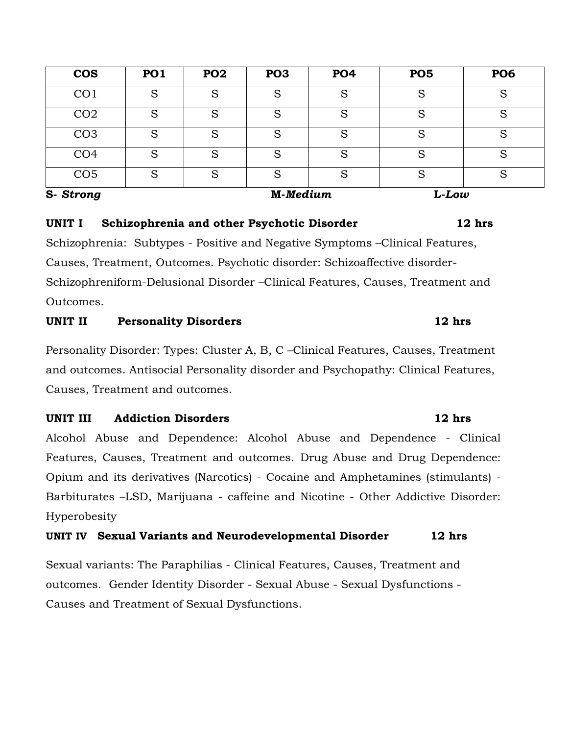| <b>COS</b>      | PO <sub>1</sub> | PO <sub>2</sub> | PO <sub>3</sub> | <b>PO4</b> | PO <sub>5</sub> | PO <sub>6</sub> |
|-----------------|-----------------|-----------------|-----------------|------------|-----------------|-----------------|
| CO <sub>1</sub> | S               | S               | S               | S          | S               | S               |
| CO <sub>2</sub> | S               | S               | S               | S          | S               | S               |
| CO <sub>3</sub> | S               | S               | S               | S          | S               | S               |
| CO <sub>4</sub> | S               | S               | S               | S          | S               | S               |
| CO <sub>5</sub> | S               | S               | S               | S          | S               | S               |
| S-Strong        |                 |                 | M-Medium        |            | $L-Low$         |                 |

# **UNIT I Schizophrenia and other Psychotic Disorder 12 hrs** Schizophrenia: Subtypes - Positive and Negative Symptoms –Clinical Features,

Causes, Treatment, Outcomes. Psychotic disorder: Schizoaffective disorder-Schizophreniform-Delusional Disorder –Clinical Features, Causes, Treatment and Outcomes.

#### **UNIT II** Personality Disorders 12 hrs

Personality Disorder: Types: Cluster A, B, C –Clinical Features, Causes, Treatment and outcomes. Antisocial Personality disorder and Psychopathy: Clinical Features, Causes, Treatment and outcomes.

#### **UNIT III Addiction Disorders 12 hrs**

Alcohol Abuse and Dependence: Alcohol Abuse and Dependence - Clinical Features, Causes, Treatment and outcomes. Drug Abuse and Drug Dependence: Opium and its derivatives (Narcotics) - Cocaine and Amphetamines (stimulants) - Barbiturates –LSD, Marijuana - caffeine and Nicotine - Other Addictive Disorder: Hyperobesity

#### **UNIT IV Sexual Variants and Neurodevelopmental Disorder 12 hrs**

Sexual variants: The Paraphilias - Clinical Features, Causes, Treatment and outcomes. Gender Identity Disorder - Sexual Abuse - Sexual Dysfunctions - Causes and Treatment of Sexual Dysfunctions.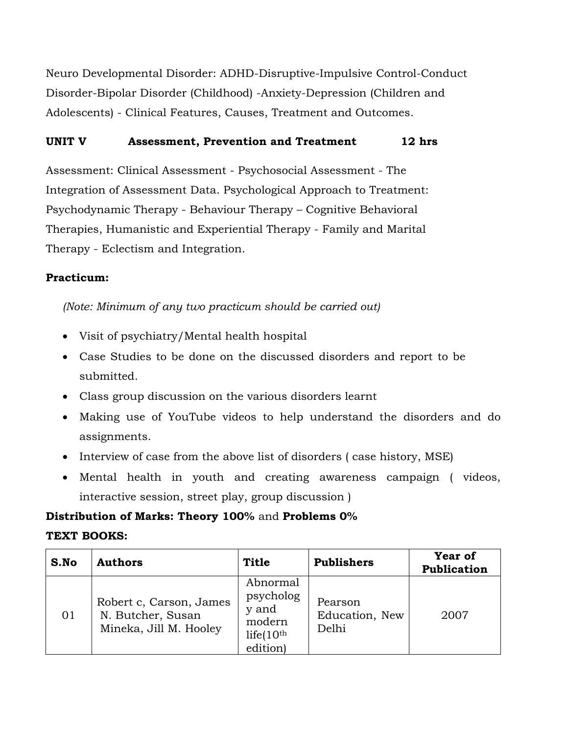Neuro Developmental Disorder: ADHD-Disruptive-Impulsive Control-Conduct Disorder-Bipolar Disorder (Childhood) -Anxiety-Depression (Children and Adolescents) - Clinical Features, Causes, Treatment and Outcomes.

### **UNIT V Assessment, Prevention and Treatment 12 hrs**

Assessment: Clinical Assessment - Psychosocial Assessment - The Integration of Assessment Data. Psychological Approach to Treatment: Psychodynamic Therapy - Behaviour Therapy – Cognitive Behavioral Therapies, Humanistic and Experiential Therapy - Family and Marital Therapy - Eclectism and Integration.

# **Practicum:**

*(Note: Minimum of any two practicum should be carried out)*

- Visit of psychiatry/Mental health hospital
- Case Studies to be done on the discussed disorders and report to be submitted.
- Class group discussion on the various disorders learnt
- Making use of YouTube videos to help understand the disorders and do assignments.
- Interview of case from the above list of disorders (case history, MSE)
- Mental health in youth and creating awareness campaign ( videos, interactive session, street play, group discussion )

# **Distribution of Marks: Theory 100%** and **Problems 0%**

#### **TEXT BOOKS:**

| S.No | <b>Authors</b>                                                         | <b>Title</b>                                                          | <b>Publishers</b>                  | <b>Year of</b><br>Publication |
|------|------------------------------------------------------------------------|-----------------------------------------------------------------------|------------------------------------|-------------------------------|
| 01   | Robert c, Carson, James<br>N. Butcher, Susan<br>Mineka, Jill M. Hooley | Abnormal<br>psycholog<br>y and<br>modern<br>life $(10th)$<br>edition) | Pearson<br>Education, New<br>Delhi | 2007                          |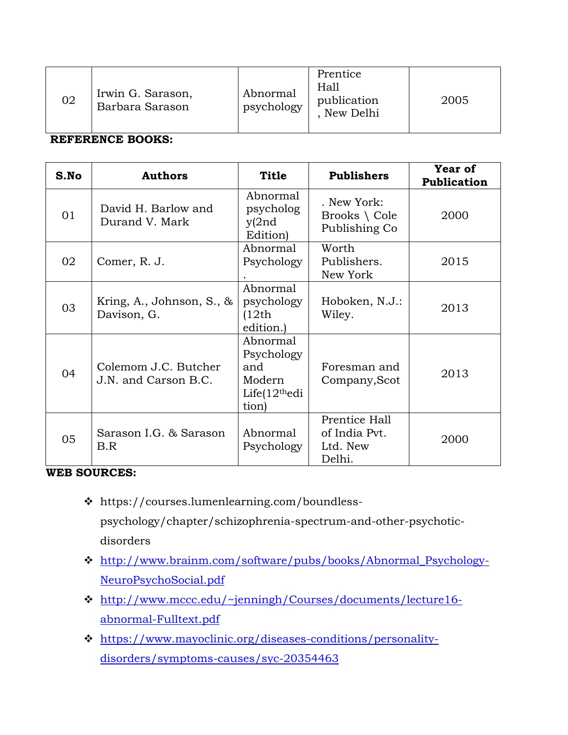| 02 | Irwin G. Sarason,<br>Barbara Sarason | Abnormal<br>psychology | Prentice<br>Hall<br>publication<br>New Delhi | 2005 |
|----|--------------------------------------|------------------------|----------------------------------------------|------|
|----|--------------------------------------|------------------------|----------------------------------------------|------|

**REFERENCE BOOKS:**

| S.No | <b>Authors</b>                               | <b>Title</b>                                                         | <b>Publishers</b>                                       | Year of<br>Publication |
|------|----------------------------------------------|----------------------------------------------------------------------|---------------------------------------------------------|------------------------|
| 01   | David H. Barlow and<br>Durand V. Mark        | Abnormal<br>psycholog<br>y(2nd)<br>Edition)                          | . New York:<br>Brooks $\setminus$ Cole<br>Publishing Co | 2000                   |
| 02   | Comer, R. J.                                 | Abnormal<br>Psychology                                               | Worth<br>Publishers.<br>New York                        | 2015                   |
| 03   | Kring, A., Johnson, S., $\&$<br>Davison, G.  | Abnormal<br>psychology<br>(12th)<br>edition.)                        | Hoboken, N.J.:<br>Wiley.                                | 2013                   |
| 04   | Colemom J.C. Butcher<br>J.N. and Carson B.C. | Abnormal<br>Psychology<br>and<br>Modern<br>Life $(12th$ edi<br>tion) | Foresman and<br>Company, Scot                           | 2013                   |
| 05   | Sarason I.G. & Sarason<br>B.R                | Abnormal<br>Psychology                                               | Prentice Hall<br>of India Pvt.<br>Ltd. New<br>Delhi.    | 2000                   |

# **WEB SOURCES:**

- https://courses.lumenlearning.com/boundlesspsychology/chapter/schizophrenia-spectrum-and-other-psychoticdisorders
- [http://www.brainm.com/software/pubs/books/Abnormal\\_Psychology-](http://www.brainm.com/software/pubs/books/Abnormal_Psychology-NeuroPsychoSocial.pdf)[NeuroPsychoSocial.pdf](http://www.brainm.com/software/pubs/books/Abnormal_Psychology-NeuroPsychoSocial.pdf)
- [http://www.mccc.edu/~jenningh/Courses/documents/lecture16](http://www.mccc.edu/~jenningh/Courses/documents/lecture16-abnormal-Fulltext.pdf) [abnormal-Fulltext.pdf](http://www.mccc.edu/~jenningh/Courses/documents/lecture16-abnormal-Fulltext.pdf)
- [https://www.mayoclinic.org/diseases-conditions/personality](https://www.mayoclinic.org/diseases-conditions/personality-disorders/symptoms-causes/syc-20354463)[disorders/symptoms-causes/syc-20354463](https://www.mayoclinic.org/diseases-conditions/personality-disorders/symptoms-causes/syc-20354463)